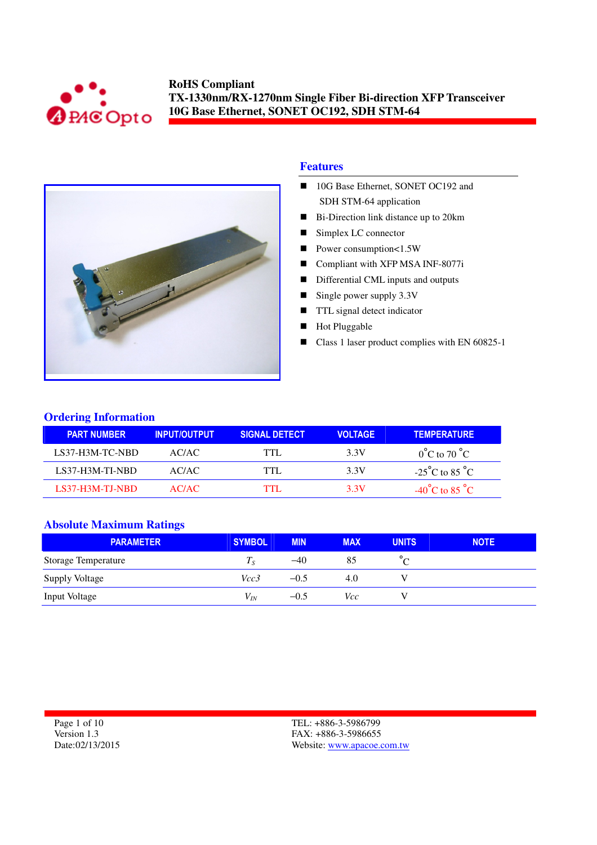



#### **Features**

- 10G Base Ethernet, SONET OC192 and SDH STM-64 application
- Bi-Direction link distance up to 20km
- Simplex LC connector
- Power consumption<1.5W
- Compliant with XFP MSA INF-8077i
- Differential CML inputs and outputs
- Single power supply  $3.3V$
- **TTL** signal detect indicator
- Hot Pluggable
- Class 1 laser product complies with EN 60825-1

### **Ordering Information**

| <b>PART NUMBER</b> | <b>INPUT/OUTPUT</b> | <b>SIGNAL DETECT</b> | <b>VOLTAGE</b> | <b>TEMPERATURE</b>                 |
|--------------------|---------------------|----------------------|----------------|------------------------------------|
| LS37-H3M-TC-NBD    | AC/AC               | TTI.                 | 3.3V           | $0^{\circ}$ C to 70 $^{\circ}$ C   |
| LS37-H3M-TI-NBD    | AC/AC               | TTI.                 | 3.3V           | $-25^{\circ}$ C to 85 $^{\circ}$ C |
| $LS37-H3M-TJ-NBD$  | AC/AC               | TTI                  | 3.3V           | $-40^{\circ}$ C to 85 $^{\circ}$ C |

#### **Absolute Maximum Ratings**

| <b>PARAMETER</b>           | <b>SYMBOL</b> | <b>MIN</b> | <b>MAX</b> | <b>UNITS</b> | <b>NOTE</b> |
|----------------------------|---------------|------------|------------|--------------|-------------|
| <b>Storage Temperature</b> | $I_{S}$       | $-40$      | 85         |              |             |
| <b>Supply Voltage</b>      | Vcc3          | $-0.5$     | 4.0        |              |             |
| <b>Input Voltage</b>       | $V_{IN}$      | $-0.5$     | Vcc        |              |             |

Page 1 of 10 Version 1.3 Date:02/13/2015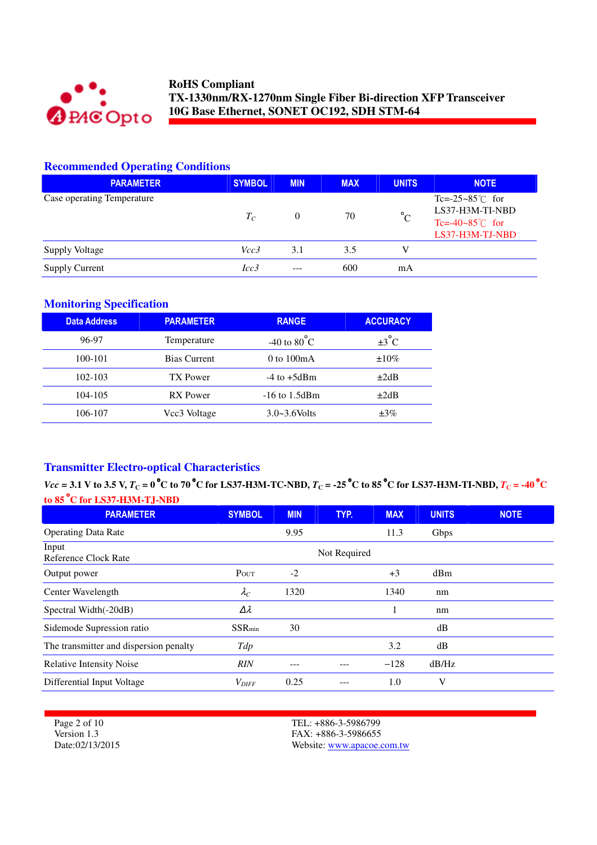

# **Recommended Operating Conditions**

| <b>PARAMETER</b>           | <b>SYMBOL</b> | <b>MIN</b>     | <b>MAX</b> | <b>UNITS</b> | <b>NOTE</b>                                                                                  |
|----------------------------|---------------|----------------|------------|--------------|----------------------------------------------------------------------------------------------|
| Case operating Temperature | $T_C$         | $\overline{0}$ | 70         | $^{\circ}$ C | Tc=-25~85 $\degree$ C for<br>LS37-H3M-TI-NBD<br>Tc=-40~85 $\degree$ C for<br>LS37-H3M-TJ-NBD |
| <b>Supply Voltage</b>      | Vcc3          | 3.1            | 3.5        | V            |                                                                                              |
| <b>Supply Current</b>      | Icc3          | ---            | 600        | mA           |                                                                                              |

#### **Monitoring Specification**

| <b>Data Address</b> | <b>PARAMETER</b>    | <b>RANGE</b>          | <b>ACCURACY</b>   |
|---------------------|---------------------|-----------------------|-------------------|
| 96-97               | Temperature         | -40 to $80^{\circ}$ C | $\pm 3^{\circ}$ C |
| 100-101             | <b>Bias Current</b> | $0$ to $100mA$        | $\pm 10\%$        |
| $102 - 103$         | TX Power            | $-4$ to $+5$ dBm      | $\pm 2dB$         |
| 104-105             | <b>RX</b> Power     | $-16$ to $1.5$ dBm    | $\pm 2dB$         |
| 106-107             | Vcc3 Voltage        | $3.0 - 3.6$ Volts     | $\pm 3\%$         |

# **Transmitter Electro-optical Characteristics**

 $Vec = 3.1$  V to 3.5 V,  $T_C = 0$ °C to 70 °C for LS37-H3M-TC-NBD,  $T_C = -25$ °C to 85 °C for LS37-H3M-TI-NBD,  $T_C = -40$ °C **to 85** °**C for LS37-H3M-TJ-NBD** 

| <b>PARAMETER</b>                       | <b>SYMBOL</b>  | <b>MIN</b> | TYP.         | <b>MAX</b> | <b>UNITS</b> | <b>NOTE</b> |
|----------------------------------------|----------------|------------|--------------|------------|--------------|-------------|
| <b>Operating Data Rate</b>             |                | 9.95       |              | 11.3       | Gbps         |             |
| Input<br>Reference Clock Rate          |                |            | Not Required |            |              |             |
| Output power                           | POUT           | $-2$       |              | $+3$       | dBm          |             |
| Center Wavelength                      | $\lambda_C$    | 1320       |              | 1340       | nm           |             |
| Spectral Width(-20dB)                  | Δλ             |            |              |            | nm           |             |
| Sidemode Supression ratio              | <b>SSR</b> min | 30         |              |            | dB           |             |
| The transmitter and dispersion penalty | Tdp            |            |              | 3.2        | dB           |             |
| <b>Relative Intensity Noise</b>        | <b>RIN</b>     |            |              | $-128$     | dB/Hz        |             |
| Differential Input Voltage             | $V_{DIFF}$     | 0.25       |              | 1.0        | V            |             |

Page 2 of 10 Version 1.3 Date:02/13/2015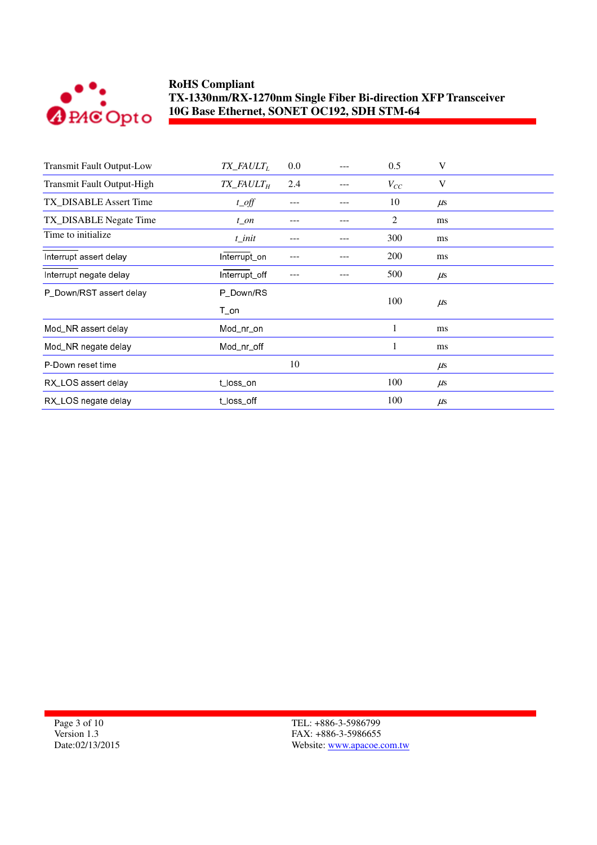

| <b>Transmit Fault Output-Low</b> | $TX$ <sub>_FAULT<sub>L</sub></sub>   | 0.0 | 0.5      | V       |
|----------------------------------|--------------------------------------|-----|----------|---------|
| Transmit Fault Output-High       | $TX$ <sub>FAULT<math>_H</math></sub> | 2.4 | $V_{CC}$ | V       |
| TX_DISABLE Assert Time           | $t$ <sub><math>0</math></sub> $ff$   |     | 10       | $\mu$ s |
| TX_DISABLE Negate Time           | $t$ _on                              |     | 2        | ms      |
| Time to initialize               | $t$ _init                            |     | 300      | ms      |
| Interrupt assert delay           | Interrupt_on                         |     | 200      | ms      |
| Interrupt negate delay           | Interrupt_off                        |     | 500      | $\mu$ s |
| P_Down/RST assert delay          | P Down/RS                            |     |          |         |
|                                  | T on                                 |     | 100      | $\mu$ s |
| Mod_NR assert delay              | Mod_nr_on                            |     | 1        | ms      |
| Mod_NR negate delay              | Mod_nr_off                           |     | 1        | ms      |
| P-Down reset time                |                                      | 10  |          | $\mu$ s |
| RX_LOS assert delay              | t_loss_on                            |     | 100      | $\mu$ s |
| RX_LOS negate delay              | t loss off                           |     | 100      | $\mu$ s |

Page 3 of 10 Version 1.3 Date:02/13/2015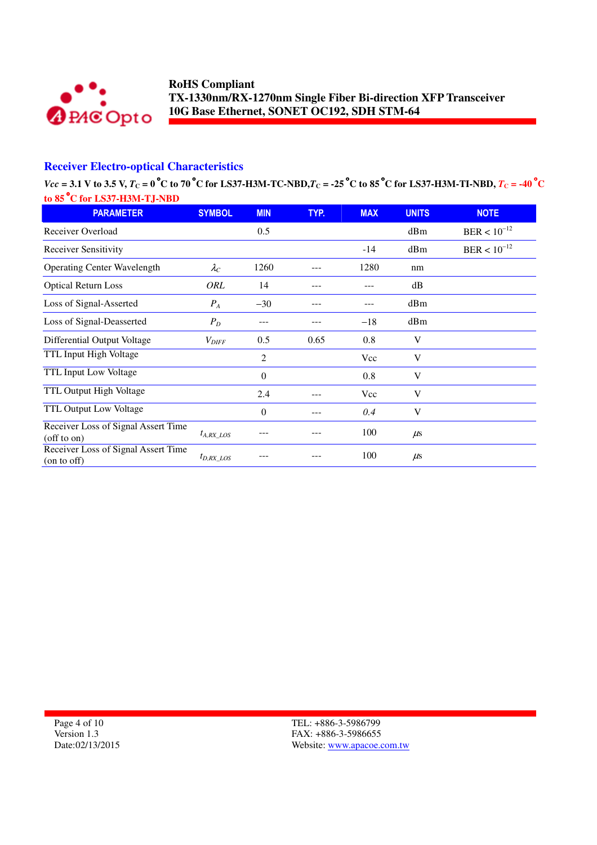

### **Receiver Electro-optical Characteristics**

 $Vec = 3.1$  V to 3.5 V,  $T_C = 0$ °C to 70°C for LS37-H3M-TC-NBD, $T_C = -25$ °C to 85°C for LS37-H3M-TI-NBD,  $T_C = -40$ °C

| to 85 °C for LS37-H3M-TJ-NBD                             |                   |                |      |            |              |                  |
|----------------------------------------------------------|-------------------|----------------|------|------------|--------------|------------------|
| <b>PARAMETER</b>                                         | <b>SYMBOL</b>     | <b>MIN</b>     | TYP. | <b>MAX</b> | <b>UNITS</b> | <b>NOTE</b>      |
| Receiver Overload                                        |                   | 0.5            |      |            | dBm          | $BER < 10^{-12}$ |
| <b>Receiver Sensitivity</b>                              |                   |                |      | $-14$      | dBm          | $BER < 10^{-12}$ |
| <b>Operating Center Wavelength</b>                       | $\lambda_C$       | 1260           |      | 1280       | nm           |                  |
| <b>Optical Return Loss</b>                               | ORL               | 14             |      |            | dB           |                  |
| Loss of Signal-Asserted                                  | $P_{A}$           | $-30$          |      |            | dBm          |                  |
| Loss of Signal-Deasserted                                | $P_D$             | ---            |      | $-18$      | dBm          |                  |
| Differential Output Voltage                              | $V_{\text{DIFF}}$ | 0.5            | 0.65 | 0.8        | V            |                  |
| TTL Input High Voltage                                   |                   | $\overline{2}$ |      | Vcc        | V            |                  |
| TTL Input Low Voltage                                    |                   | $\Omega$       |      | 0.8        | V            |                  |
| TTL Output High Voltage                                  |                   | 2.4            |      | Vcc        | V            |                  |
| TTL Output Low Voltage                                   |                   | $\theta$       | ---  | 0.4        | V            |                  |
| Receiver Loss of Signal Assert Time<br>$($ off to on $)$ | $t_{A, RX\_LOS}$  |                |      | 100        | $\mu$ s      |                  |
| Receiver Loss of Signal Assert Time<br>(on to off)       | $t_{D,RX\_LOS}$   |                |      | 100        | $\mu$ s      |                  |

Page 4 of 10 Version 1.3 Date:02/13/2015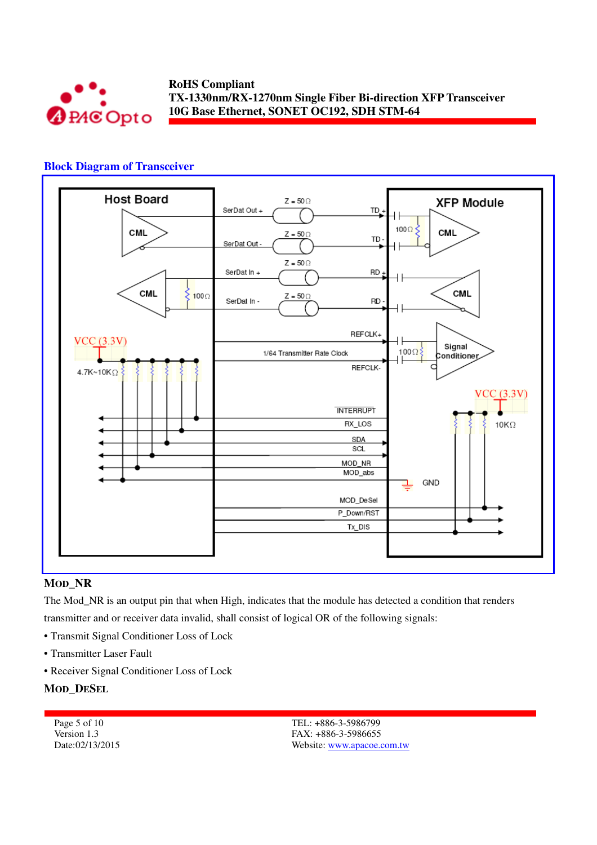

#### **Block Diagram of Transceiver**



#### **MOD\_NR**

The Mod\_NR is an output pin that when High, indicates that the module has detected a condition that renders transmitter and or receiver data invalid, shall consist of logical OR of the following signals:

- Transmit Signal Conditioner Loss of Lock
- Transmitter Laser Fault
- Receiver Signal Conditioner Loss of Lock

#### **MOD\_DESEL**

| Page 5 of 10    |
|-----------------|
| Version 1.3     |
| Date:02/13/2015 |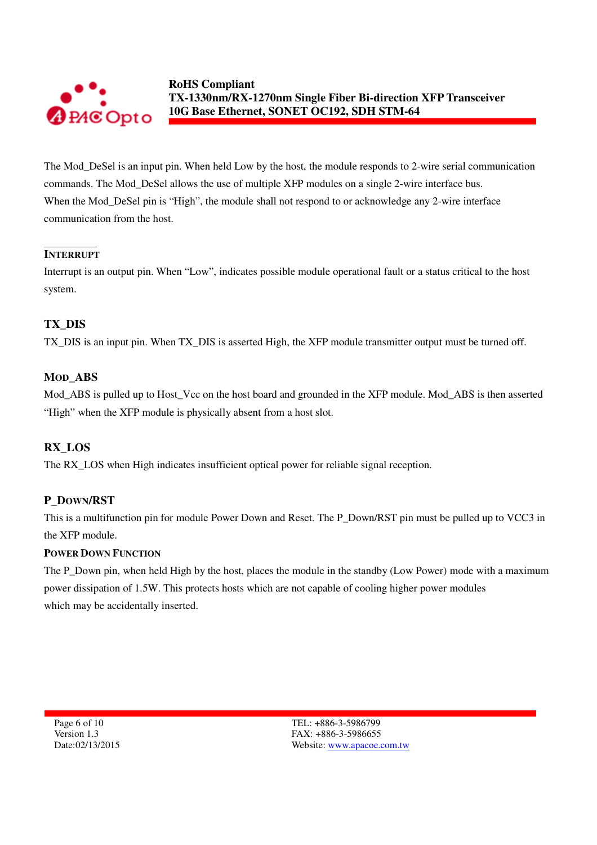

The Mod\_DeSel is an input pin. When held Low by the host, the module responds to 2-wire serial communication commands. The Mod\_DeSel allows the use of multiple XFP modules on a single 2-wire interface bus. When the Mod\_DeSel pin is "High", the module shall not respond to or acknowledge any 2-wire interface communication from the host.

### **INTERRUPT**

Interrupt is an output pin. When "Low", indicates possible module operational fault or a status critical to the host system.

### **TX\_DIS**

TX\_DIS is an input pin. When TX\_DIS is asserted High, the XFP module transmitter output must be turned off.

#### **MOD\_ABS**

Mod ABS is pulled up to Host Vcc on the host board and grounded in the XFP module. Mod ABS is then asserted "High" when the XFP module is physically absent from a host slot.

### **RX\_LOS**

The RX\_LOS when High indicates insufficient optical power for reliable signal reception.

#### **P\_DOWN/RST**

This is a multifunction pin for module Power Down and Reset. The P\_Down/RST pin must be pulled up to VCC3 in the XFP module.

#### **POWER DOWN FUNCTION**

The P\_Down pin, when held High by the host, places the module in the standby (Low Power) mode with a maximum power dissipation of 1.5W. This protects hosts which are not capable of cooling higher power modules which may be accidentally inserted.

Page 6 of 10 Version 1.3 Date:02/13/2015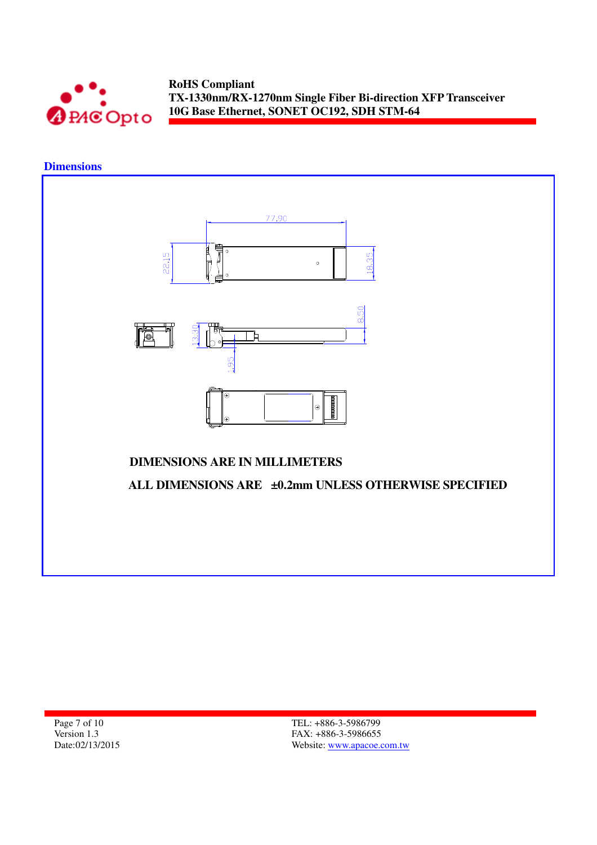

# **Dimensions**



Page 7 of 10 Version 1.3 Date:02/13/2015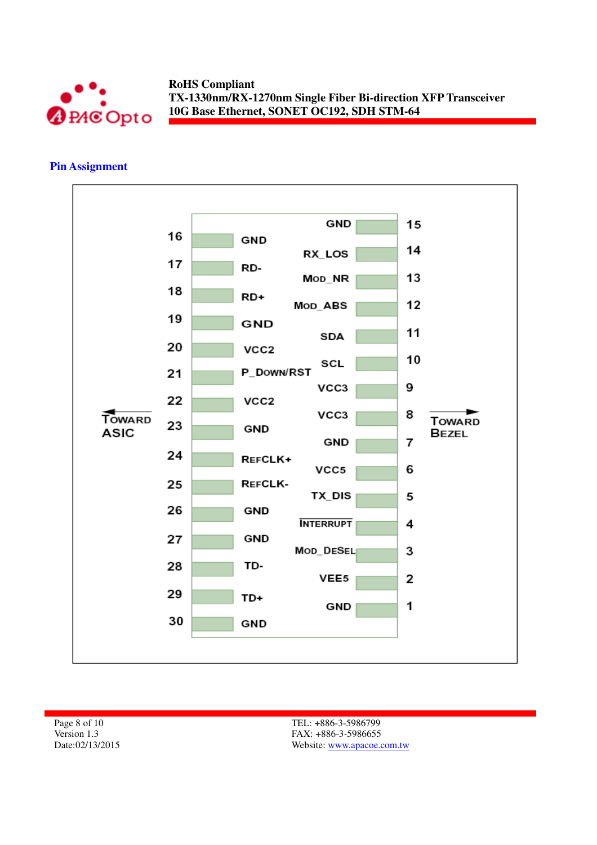

#### **Pin Assignment**



Page 8 of 10 Version 1.3 Date:02/13/2015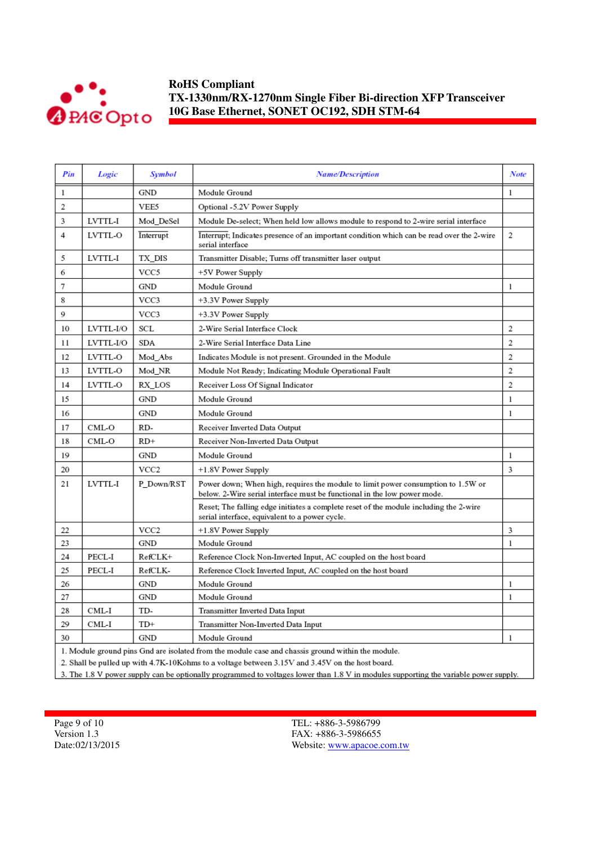

| Pin | Logic                                                                                             | <b>Symbol</b>    | <b>Name/Description</b>                                                                                                                                      | <b>Note</b> |  |  |  |  |
|-----|---------------------------------------------------------------------------------------------------|------------------|--------------------------------------------------------------------------------------------------------------------------------------------------------------|-------------|--|--|--|--|
| 1   |                                                                                                   | GND              | Module Ground                                                                                                                                                | 1           |  |  |  |  |
| 2   |                                                                                                   | VEE5             | Optional -5.2V Power Supply                                                                                                                                  |             |  |  |  |  |
| 3   | LVTTL-I                                                                                           | Mod DeSel        | Module De-select; When held low allows module to respond to 2-wire serial interface                                                                          |             |  |  |  |  |
| 4   | LVTTL-O                                                                                           | Interrupt        | Interrupt; Indicates presence of an important condition which can be read over the 2-wire<br>serial interface                                                | 2           |  |  |  |  |
| 5   | LVTTL-I                                                                                           | TX DIS           | Transmitter Disable; Turns off transmitter laser output                                                                                                      |             |  |  |  |  |
| 6   |                                                                                                   | VCC5             | +5V Power Supply                                                                                                                                             |             |  |  |  |  |
| 7   |                                                                                                   | GND              | Module Ground                                                                                                                                                | 1           |  |  |  |  |
| 8   |                                                                                                   | VCC3             | +3.3V Power Supply                                                                                                                                           |             |  |  |  |  |
| 9   |                                                                                                   | VCC3             | +3.3V Power Supply                                                                                                                                           |             |  |  |  |  |
| 10  | LVTTL-I/O                                                                                         | SCL              | 2-Wire Serial Interface Clock                                                                                                                                | 2           |  |  |  |  |
| 11  | LVTTL-I/O                                                                                         | SDA              | 2-Wire Serial Interface Data Line                                                                                                                            | 2           |  |  |  |  |
| 12  | LVTTL-O                                                                                           | Mod_Abs          | Indicates Module is not present. Grounded in the Module                                                                                                      | 2           |  |  |  |  |
| 13  | LVTTL-O                                                                                           | Mod NR           | Module Not Ready; Indicating Module Operational Fault                                                                                                        | 2           |  |  |  |  |
| 14  | LVTTL-O                                                                                           | RX_LOS           | Receiver Loss Of Signal Indicator                                                                                                                            | 2           |  |  |  |  |
| 15  |                                                                                                   | GND              | Module Ground                                                                                                                                                | 1           |  |  |  |  |
| 16  |                                                                                                   | GND              | Module Ground                                                                                                                                                | 1           |  |  |  |  |
| 17  | CML-O                                                                                             | RD-              | Receiver Inverted Data Output                                                                                                                                |             |  |  |  |  |
| 18  | CML-O                                                                                             | $RD+$            | Receiver Non-Inverted Data Output                                                                                                                            |             |  |  |  |  |
| 19  |                                                                                                   | GND              | Module Ground                                                                                                                                                | 1           |  |  |  |  |
| 20  |                                                                                                   | VCC <sub>2</sub> | +1.8V Power Supply                                                                                                                                           | 3           |  |  |  |  |
| 21  | LVTTL-I                                                                                           | P Down/RST       | Power down; When high, requires the module to limit power consumption to 1.5W or<br>below. 2-Wire serial interface must be functional in the low power mode. |             |  |  |  |  |
|     |                                                                                                   |                  | Reset; The falling edge initiates a complete reset of the module including the 2-wire<br>serial interface, equivalent to a power cycle.                      |             |  |  |  |  |
| 22  |                                                                                                   | VCC <sub>2</sub> | +1.8V Power Supply                                                                                                                                           | 3           |  |  |  |  |
| 23  |                                                                                                   | GND              | Module Ground                                                                                                                                                | 1           |  |  |  |  |
| 24  | PECL-I                                                                                            | RefCLK+          | Reference Clock Non-Inverted Input, AC coupled on the host board                                                                                             |             |  |  |  |  |
| 25  | PECL-I                                                                                            | RefCLK-          | Reference Clock Inverted Input, AC coupled on the host board                                                                                                 |             |  |  |  |  |
| 26  |                                                                                                   | <b>GND</b>       | Module Ground                                                                                                                                                | 1           |  |  |  |  |
| 27  |                                                                                                   | GND              | Module Ground                                                                                                                                                | 1           |  |  |  |  |
| 28  | CML-I                                                                                             | TD-              | Transmitter Inverted Data Input                                                                                                                              |             |  |  |  |  |
| 29  | CML-I                                                                                             | TD+              | Transmitter Non-Inverted Data Input                                                                                                                          |             |  |  |  |  |
| 30  |                                                                                                   | <b>GND</b>       | Module Ground                                                                                                                                                | 1           |  |  |  |  |
|     | 1. Module ground pins Gnd are isolated from the module case and chassis ground within the module. |                  |                                                                                                                                                              |             |  |  |  |  |

2. Shall be pulled up with 4.7K-10Kohms to a voltage between 3.15V and 3.45V on the host board.

3. The 1.8 V power supply can be optionally programmed to voltages lower than 1.8 V in modules supporting the variable power supply.

Page 9 of 10 Version 1.3 Date:02/13/2015